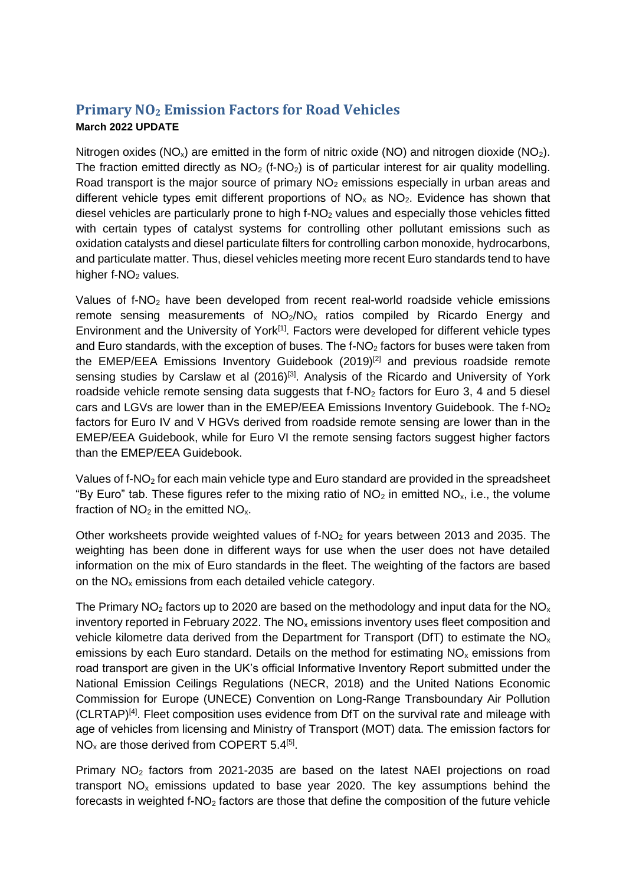## **Primary NO<sup>2</sup> Emission Factors for Road Vehicles March 2022 UPDATE**

Nitrogen oxides ( $NO_x$ ) are emitted in the form of nitric oxide ( $NO$ ) and nitrogen dioxide ( $NO_2$ ). The fraction emitted directly as  $NO<sub>2</sub>$  (f-NO<sub>2</sub>) is of particular interest for air quality modelling. Road transport is the major source of primary  $NO<sub>2</sub>$  emissions especially in urban areas and different vehicle types emit different proportions of  $NO<sub>x</sub>$  as  $NO<sub>2</sub>$ . Evidence has shown that diesel vehicles are particularly prone to high  $f-NO<sub>2</sub>$  values and especially those vehicles fitted with certain types of catalyst systems for controlling other pollutant emissions such as oxidation catalysts and diesel particulate filters for controlling carbon monoxide, hydrocarbons, and particulate matter. Thus, diesel vehicles meeting more recent Euro standards tend to have higher  $f-NO<sub>2</sub>$  values.

Values of  $f\text{-}NO<sub>2</sub>$  have been developed from recent real-world roadside vehicle emissions remote sensing measurements of  $NO<sub>2</sub>/NO<sub>x</sub>$  ratios compiled by Ricardo Energy and Environment and the University of York<sup>[1]</sup>. Factors were developed for different vehicle types and Euro standards, with the exception of buses. The f-NO<sub>2</sub> factors for buses were taken from the EMEP/EEA Emissions Inventory Guidebook (2019)<sup>[2]</sup> and previous roadside remote sensing studies by Carslaw et al (2016)<sup>[3]</sup>. Analysis of the Ricardo and University of York roadside vehicle remote sensing data suggests that f-NO<sub>2</sub> factors for Euro 3, 4 and 5 diesel cars and LGVs are lower than in the EMEP/EEA Emissions Inventory Guidebook. The  $f\text{-}NO<sub>2</sub>$ factors for Euro IV and V HGVs derived from roadside remote sensing are lower than in the EMEP/EEA Guidebook, while for Euro VI the remote sensing factors suggest higher factors than the EMEP/EEA Guidebook.

Values of f-NO<sup>2</sup> for each main vehicle type and Euro standard are provided in the spreadsheet "By Euro" tab. These figures refer to the mixing ratio of  $NO<sub>2</sub>$  in emitted  $NO<sub>x</sub>$ , i.e., the volume fraction of  $NO<sub>2</sub>$  in the emitted  $NO<sub>x</sub>$ .

Other worksheets provide weighted values of  $f-NO<sub>2</sub>$  for years between 2013 and 2035. The weighting has been done in different ways for use when the user does not have detailed information on the mix of Euro standards in the fleet. The weighting of the factors are based on the  $NO<sub>x</sub>$  emissions from each detailed vehicle category.

The Primary  $NO<sub>2</sub>$  factors up to 2020 are based on the methodology and input data for the  $NO<sub>x</sub>$ inventory reported in February 2022. The  $NO<sub>x</sub>$  emissions inventory uses fleet composition and vehicle kilometre data derived from the Department for Transport (DfT) to estimate the  $NO<sub>x</sub>$ emissions by each Euro standard. Details on the method for estimating  $NO<sub>x</sub>$  emissions from road transport are given in the UK's official Informative Inventory Report submitted under the National Emission Ceilings Regulations (NECR, 2018) and the United Nations Economic Commission for Europe (UNECE) Convention on Long-Range Transboundary Air Pollution (CLRTAP)<sup>[4]</sup>. Fleet composition uses evidence from DfT on the survival rate and mileage with age of vehicles from licensing and Ministry of Transport (MOT) data. The emission factors for  $NO<sub>x</sub>$  are those derived from COPERT 5.4<sup>[5]</sup>.

Primary  $NO<sub>2</sub>$  factors from 2021-2035 are based on the latest NAEI projections on road transport  $NO<sub>x</sub>$  emissions updated to base year 2020. The key assumptions behind the forecasts in weighted  $f-NO<sub>2</sub>$  factors are those that define the composition of the future vehicle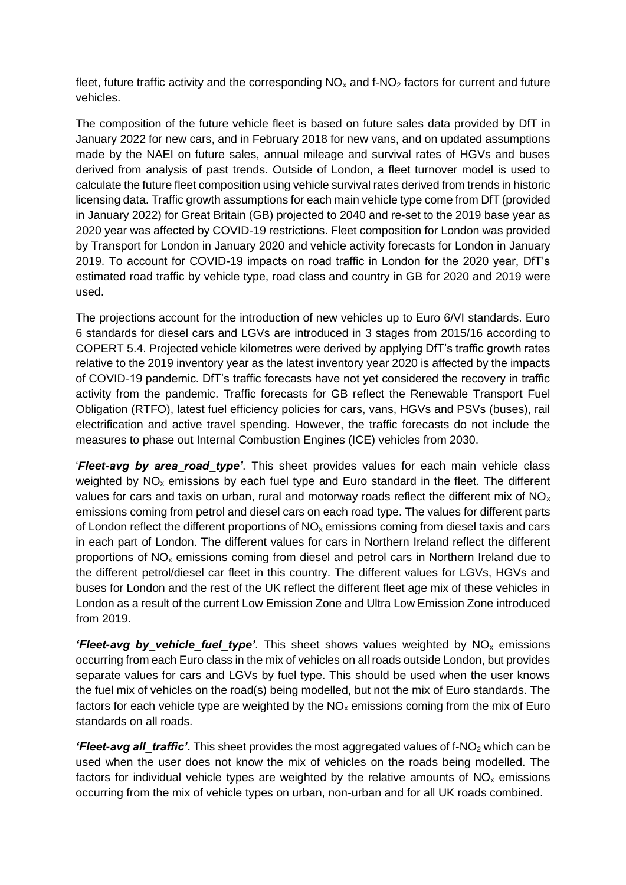fleet, future traffic activity and the corresponding  $NO<sub>x</sub>$  and f-NO<sub>2</sub> factors for current and future vehicles.

The composition of the future vehicle fleet is based on future sales data provided by DfT in January 2022 for new cars, and in February 2018 for new vans, and on updated assumptions made by the NAEI on future sales, annual mileage and survival rates of HGVs and buses derived from analysis of past trends. Outside of London, a fleet turnover model is used to calculate the future fleet composition using vehicle survival rates derived from trends in historic licensing data. Traffic growth assumptions for each main vehicle type come from DfT (provided in January 2022) for Great Britain (GB) projected to 2040 and re-set to the 2019 base year as 2020 year was affected by COVID-19 restrictions. Fleet composition for London was provided by Transport for London in January 2020 and vehicle activity forecasts for London in January 2019. To account for COVID-19 impacts on road traffic in London for the 2020 year, DfT's estimated road traffic by vehicle type, road class and country in GB for 2020 and 2019 were used.

The projections account for the introduction of new vehicles up to Euro 6/VI standards. Euro 6 standards for diesel cars and LGVs are introduced in 3 stages from 2015/16 according to COPERT 5.4. Projected vehicle kilometres were derived by applying DfT's traffic growth rates relative to the 2019 inventory year as the latest inventory year 2020 is affected by the impacts of COVID-19 pandemic. DfT's traffic forecasts have not yet considered the recovery in traffic activity from the pandemic. Traffic forecasts for GB reflect the Renewable Transport Fuel Obligation (RTFO), latest fuel efficiency policies for cars, vans, HGVs and PSVs (buses), rail electrification and active travel spending. However, the traffic forecasts do not include the measures to phase out Internal Combustion Engines (ICE) vehicles from 2030.

'*Fleet-avg by area\_road\_type'*. This sheet provides values for each main vehicle class weighted by  $NO<sub>x</sub>$  emissions by each fuel type and Euro standard in the fleet. The different values for cars and taxis on urban, rural and motorway roads reflect the different mix of  $NO<sub>x</sub>$ emissions coming from petrol and diesel cars on each road type. The values for different parts of London reflect the different proportions of  $NO<sub>x</sub>$  emissions coming from diesel taxis and cars in each part of London. The different values for cars in Northern Ireland reflect the different proportions of  $NO<sub>x</sub>$  emissions coming from diesel and petrol cars in Northern Ireland due to the different petrol/diesel car fleet in this country. The different values for LGVs, HGVs and buses for London and the rest of the UK reflect the different fleet age mix of these vehicles in London as a result of the current Low Emission Zone and Ultra Low Emission Zone introduced from 2019.

*'Fleet-avg by vehicle fuel type'*. This sheet shows values weighted by NO<sub>x</sub> emissions occurring from each Euro class in the mix of vehicles on all roads outside London, but provides separate values for cars and LGVs by fuel type. This should be used when the user knows the fuel mix of vehicles on the road(s) being modelled, but not the mix of Euro standards. The factors for each vehicle type are weighted by the  $NO<sub>x</sub>$  emissions coming from the mix of Euro standards on all roads.

*'Fleet-avg all\_traffic'.* This sheet provides the most aggregated values of f-NO<sub>2</sub> which can be used when the user does not know the mix of vehicles on the roads being modelled. The factors for individual vehicle types are weighted by the relative amounts of  $NO<sub>x</sub>$  emissions occurring from the mix of vehicle types on urban, non-urban and for all UK roads combined.